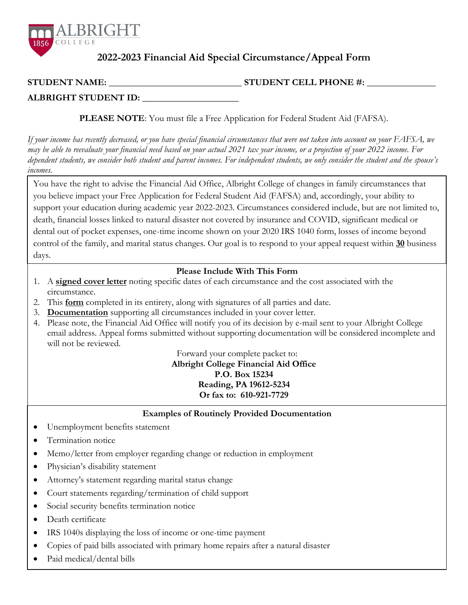

## **2022-2023 Financial Aid Special Circumstance/Appeal Form**

| <b>STUDENT NAME:</b> | <b>STUDENT CELL PHONE #:</b> |
|----------------------|------------------------------|
|                      |                              |

**ALBRIGHT STUDENT ID:** \_\_\_\_\_\_\_\_\_\_\_\_\_\_\_\_\_\_\_\_\_

**PLEASE NOTE**: You must file a Free Application for Federal Student Aid (FAFSA).

*If your income has recently decreased, or you have special financial circumstances that were not taken into account on your FAFSA, we may be able to reevaluate your financial need based on your actual 2021 tax year income, or a projection of your 2022 income. For dependent students, we consider both student and parent incomes. For independent students, we only consider the student and the spouse's incomes.*

You have the right to advise the Financial Aid Office, Albright College of changes in family circumstances that you believe impact your Free Application for Federal Student Aid (FAFSA) and, accordingly, your ability to support your education during academic year 2022-2023. Circumstances considered include, but are not limited to, death, financial losses linked to natural disaster not covered by insurance and COVID, significant medical or dental out of pocket expenses, one-time income shown on your 2020 IRS 1040 form, losses of income beyond control of the family, and marital status changes. Our goal is to respond to your appeal request within **30** business days.

## **Please Include With This Form**

- 1. A **signed cover letter** noting specific dates of each circumstance and the cost associated with the circumstance.
- 2. This **form** completed in its entirety, along with signatures of all parties and date.
- 3. **Documentation** supporting all circumstances included in your cover letter.
- 4. Please note, the Financial Aid Office will notify you of its decision by e-mail sent to your Albright College email address. Appeal forms submitted without supporting documentation will be considered incomplete and will not be reviewed.

Forward your complete packet to:

**Albright College Financial Aid Office P.O. Box 15234 Reading, PA 19612-5234 Or fax to: 610-921-7729**

**Examples of Routinely Provided Documentation**

- Unemployment benefits statement
- Termination notice
- Memo/letter from employer regarding change or reduction in employment
- Physician's disability statement
- Attorney's statement regarding marital status change
- Court statements regarding/termination of child support
- Social security benefits termination notice
- Death certificate
- IRS 1040s displaying the loss of income or one-time payment
- Copies of paid bills associated with primary home repairs after a natural disaster
- Paid medical/dental bills